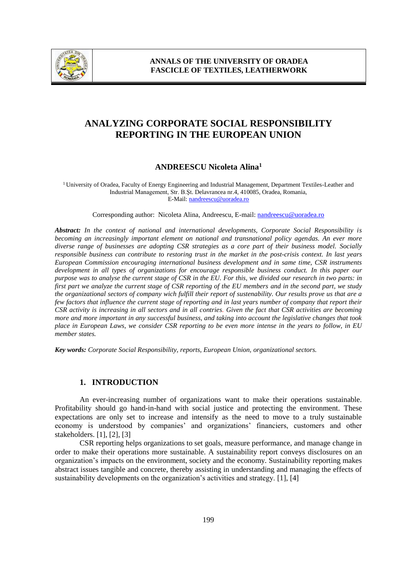

# **ANALYZING CORPORATE SOCIAL RESPONSIBILITY REPORTING IN THE EUROPEAN UNION**

## **ANDREESCU Nicoleta Alina<sup>1</sup>**

<sup>1</sup>University of Oradea, Faculty of Energy Engineering and Industrial Management, Department Textiles-Leather and Industrial Management, Str. B.Şt. Delavrancea nr.4, 410085, Oradea, Romania, E-Mail: nandreescu@uoradea.ro

Corresponding author: Nicoleta Alina, Andreescu, E-mail: nandreescu@uoradea.ro

*Abstract: In the context of national and international developments, Corporate Social Responsibility is becoming an increasingly important element on national and transnational policy agendas. An ever more diverse range of businesses are adopting CSR strategies as a core part of their business model. Socially responsible business can contribute to restoring trust in the market in the post-crisis context. In last years European Commission encouraging international business development and in same time, CSR instruments development in all types of organizations for encourage responsible business conduct. In this paper our purpose was to analyse the current stage of CSR in the EU. For this, we divided our research in two parts: in first part we analyze the current stage of CSR reporting of the EU members and in the second part, we study the organizational sectors of company wich fulfill their report of sustenability. Our results prove us that are a few factors that influence the current stage of reporting and in last years number of company that report their CSR activity is increasing in all sectors and in all contries. Given the fact that CSR activities are becoming more and more important in any successful business, and taking into account the legislative changes that took place in European Laws, we consider CSR reporting to be even more intense in the years to follow, in EU member states.*

*Key words: Corporate Social Responsibility, reports, European Union, organizational sectors.*

#### **1. INTRODUCTION**

An ever-increasing number of organizations want to make their operations sustainable. Profitability should go hand-in-hand with social justice and protecting the environment. These expectations are only set to increase and intensify as the need to move to a truly sustainable economy is understood by companies' and organizations' financiers, customers and other stakeholders. [1], [2], [3]

CSR reporting helps organizations to set goals, measure performance, and manage change in order to make their operations more sustainable. A sustainability report conveys disclosures on an organization's impacts on the environment, society and the economy. Sustainability reporting makes abstract issues tangible and concrete, thereby assisting in understanding and managing the effects of sustainability developments on the organization's activities and strategy. [1], [4]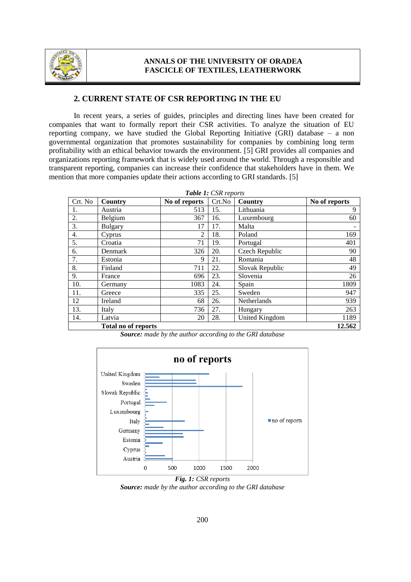

### **ANNALS OF THE UNIVERSITY OF ORADEA FASCICLE OF TEXTILES, LEATHERWORK**

#### **2. CURRENT STATE OF CSR REPORTING IN THE EU**

In recent years, a series of guides, principles and directing lines have been created for companies that want to formally report their CSR activities. To analyze the situation of EU reporting company, we have studied the Global Reporting Initiative (GRI) database – a non governmental organization that promotes sustainability for companies by combining long term profitability with an ethical behavior towards the environment. [5] GRI provides all companies and organizations reporting framework that is widely used around the world. Through a responsible and transparent reporting, companies can increase their confidence that stakeholders have in them. We mention that more companies update their actions according to GRI standards. [5]

| Crt. No | Country                    | No of reports | Crt.No | Country         | No of reports |
|---------|----------------------------|---------------|--------|-----------------|---------------|
| 1.      | Austria                    | 513           | 15.    | Lithuania       | 9             |
| 2.      | Belgium                    | 367           | 16.    | Luxembourg      | 60            |
| 3.      | <b>Bulgary</b>             | 17            | 17.    | Malta           |               |
| 4.      | Cyprus                     | 2             | 18.    | Poland          | 169           |
| 5.      | Croatia                    | 71            | 19.    | Portugal        | 401           |
| 6.      | Denmark                    | 326           | 20.    | Czech Republic  | 90            |
| 7.      | Estonia                    | 9             | 21.    | Romania         | 48            |
| 8.      | Finland                    | 711           | 22.    | Slovak Republic | 49            |
| 9.      | France                     | 696           | 23.    | Slovenia        | 26            |
| 10.     | Germany                    | 1083          | 24.    | Spain           | 1809          |
| 11.     | Greece                     | 335           | 25.    | Sweden          | 947           |
| 12      | Ireland                    | 68            | 26.    | Netherlands     | 939           |
| 13.     | Italy                      | 736           | 27.    | Hungary         | 263           |
| 14.     | Latvia                     | 20            | 28.    | United Kingdom  | 1189          |
|         | <b>Total no of reports</b> |               |        |                 | 12.562        |

*Source: made by the author according to the GRI database*



*Fig. 1: CSR reports Source: made by the author according to the GRI database*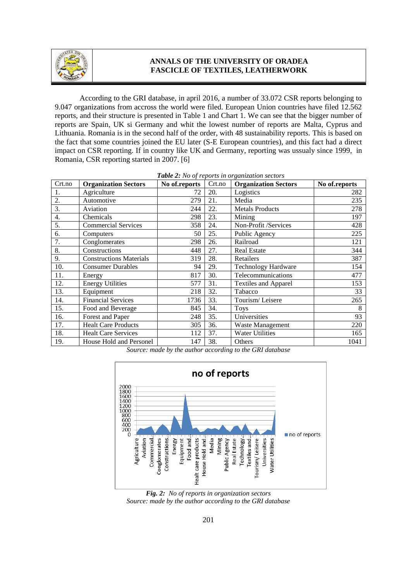

# **ANNALS OF THE UNIVERSITY OF ORADEA FASCICLE OF TEXTILES, LEATHERWORK**

According to the GRI database, in april 2016, a number of 33.072 CSR reports belonging to 9.047 organizations from accross the world were filed. European Union countries have filed 12.562 reports, and their structure is presented in Table 1 and Chart 1. We can see that the bigger number of reports are Spain, UK si Germany and whit the lowest number of reports are Malta, Cyprus and Lithuania. Romania is in the second half of the order, with 48 sustainability reports. This is based on the fact that some countries joined the EU later (S-E European countries), and this fact had a direct impact on CSR reporting. If in country like UK and Germany, reporting was ussualy since 1999, in Romania, CSR reporting started in 2007. [6]

| Crt.no | <b>Organization Sectors</b>    | No of.reports | Crt.no | <b>There E.</b> The of reports in organization sections<br><b>Organization Sectors</b> | No of.reports |
|--------|--------------------------------|---------------|--------|----------------------------------------------------------------------------------------|---------------|
| 1.     | Agriculture                    | 72            | 20.    | Logistics                                                                              | 282           |
| 2.     | Automotive                     | 279           | 21.    | Media                                                                                  | 235           |
| 3.     | Aviation                       | 244           | 22.    | <b>Metals Products</b>                                                                 | 278           |
| 4.     | Chemicals                      | 298           | 23.    | Mining                                                                                 | 197           |
| 5.     | <b>Commercial Services</b>     | 358           | 24.    | Non-Profit /Services                                                                   | 428           |
| 6.     | Computers                      | 50            | 25.    | Public Agency                                                                          | 225           |
| 7.     | Conglomerates                  | 298           | 26.    | Railroad                                                                               | 121           |
| 8.     | Constructions                  | 448           | 27.    | <b>Real Estate</b>                                                                     | 344           |
| 9.     | <b>Constructions Materials</b> | 319           | 28.    | Retailers                                                                              | 387           |
| 10.    | <b>Consumer Durables</b>       | 94            | 29.    | <b>Technology Hardware</b>                                                             | 154           |
| 11.    | Energy                         | 817           | 30.    | Telecommunications                                                                     | 477           |
| 12.    | <b>Energy Utilities</b>        | 577           | 31.    | <b>Textiles and Apparel</b>                                                            | 153           |
| 13.    | Equipment                      | 218           | 32.    | Tabacco                                                                                | 33            |
| 14.    | <b>Financial Services</b>      | 1736          | 33.    | Tourism/Leisere                                                                        | 265           |
| 15.    | Food and Beverage              | 845           | 34.    | <b>Toys</b>                                                                            | 8             |
| 16.    | Forest and Paper               | 248           | 35.    | Universities                                                                           | 93            |
| 17.    | <b>Healt Care Products</b>     | 305           | 36.    | Waste Management                                                                       | 220           |
| 18.    | <b>Healt Care Services</b>     | 112           | 37.    | <b>Water Utilities</b>                                                                 | 165           |
| 19.    | House Hold and Personel        | 147           | 38.    | Others                                                                                 | 1041          |

|  |  |  |  |  | Table 2: No of reports in organization sectors |  |
|--|--|--|--|--|------------------------------------------------|--|
|--|--|--|--|--|------------------------------------------------|--|

*Source: made by the author according to the GRI database* 



*Fig. 2: No of reports in organization sectors Source: made by the author according to the GRI database*